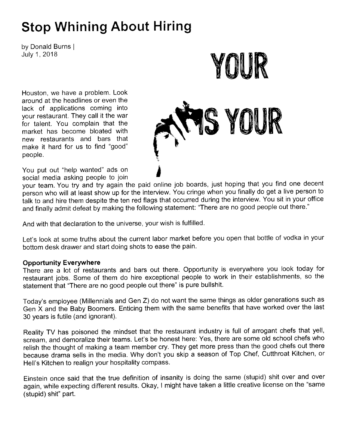# Stop Whining About Hiring

by Donald Burns <sup>I</sup> July 1, 2018

Houston, we have a problem. Look around at the headlines or even the lack of applications coming into your restaurant. They call it the war for talent. You complain that the market has become bloated with new restaurants and bars that make it hard for us to find "good" people.

You put out "help wanted" ads on social media asking people to join



your team. You try and try again the paid online job boards, just hoping that you find one decent person who will at least show up for the interview. You cringe when you finally do get a live person to talk to and hire them despite the ten red flags that occurred during the interview. You sit in your office and finally admit defeat by making the following statement: "There are no good people out there."

And with that declaration to the universe, your wish is fulfilled.

Let's look at some truths about the current labor market before you open that bottle of vodka in your bottom desk drawer and start doing shots to ease the pain.

### Opportunity Everywhere

There are a lot of restaurants and bars out there. Opportunity is everywhere you look today for restaurant jobs. Some of them do hire exceptional people to work in their establishments, so the statement that "There are no good people out there" is pure bullshit.

Today's employee (Millennials and Gen Z) do not want the same things as older generations such as Gen k and the Baby Boomers. Enticing them with the same benefits that have worked over the last 30 years is futile (and ignorant).

Reality TV has poisoned the mindset that the restaurant industry is full of arrogant chefs that yell, scream, and demoralize their teams. Let's be honest here: Yes, there are some old school chefs who relish the thought of making a team member cry. They get more press than the good chefs out there because drama sells in the media. Why don't you skip a season of Top Chef, Cutthroat Kitchen, or Hell's Kitchen to realign your hospitality compass.

Einstein once said that the true definition of insanity is doing the same (stupid) shit over and over again, while expecting different results. Okay, I might have taken a little creative license on the "same (stupid) shit" part.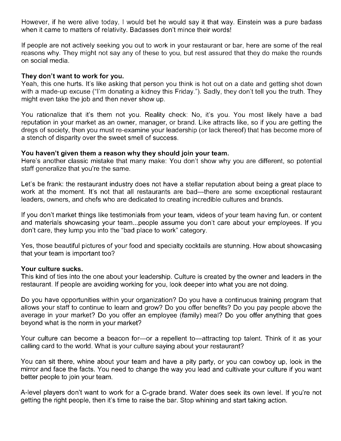However, if he were alive today, I would bet he would say it that way. Einstein was a pure badass when it came to matters of relativity. Badasses don't mince their words!

lf people are not actively seeking you out to work in your restaurant or bar, here are some of the real reasons why. They might not say any of these to you, but rest assured that they do make the rounds on social media.

#### They don't want to work for you.

Yeah, this one hurts. lt's like asking that person you think is hot out on a date and getting shot down with a made-up excuse ("I'm donating a kidney this Friday."). Sadly, they don't tell you the truth. They might even take the job and then never show up.

You rationalize that it's them not you. Reality check: No, it's you. You most likely have a bad reputation in your market as an owner, manager, or brand. Like attracts like, so if you are getting the dregs of society, then you must re-examine your leadership (or lack thereof) that has become more of a stench of disparity over the sweet smell of success.

#### You haven't given them a reason why they should join your team.

Here's another classic mistake that many make: You don't show why you are different, so potential staff generalize that you're the same.

Let's be frank: the restaurant industry does not have a stellar reputation about being a great place to work at the moment. It's not that all restaurants are bad—there are some exceptional restaurant leaders, owners, and chefs who are dedicated to creating incredible cultures and brands.

lf you don't market things like testimonials from your team, videos of your team having fun, or content and materials showcasing your team...people assume you don't care about your employees. lf you don't care, they lump you into the "bad place to work" category.

Yes, those beautiful pictures of your food and specialty cocktails are stunning. How about showcasing that your team is important too?

#### Your culture sucks.

This kind of ties into the one about your leadership. Culture is created by the owner and leaders in the restaurant. lf people are avoiding working for you, look deeper into what you are not doing.

Do you have opportunities within your organization? Do you have a continuous training program that allows your staff to continue to learn and grow? Do you offer benefits? Do you pay people above the average in your market? Do you offer an employee (family) meal? Do you offer anything that goes beyond what is the norm in your market?

Your culture can become a beacon for-or a repellent to-attracting top talent. Think of it as your calling card to the world. What is your culture saying about your restaurant?

You can sit there, whine about your team and have a pity party, or you can cowboy up, look in the mirror and face the facts. You need to change the way you lead and cultivate your culture if you want better people to join your team.

A-level players don't want to work for a C-grade brand. Water does seek its own level. lf you're not getting the right people, then it's time to raise the bar. Stop whining and start taking action.